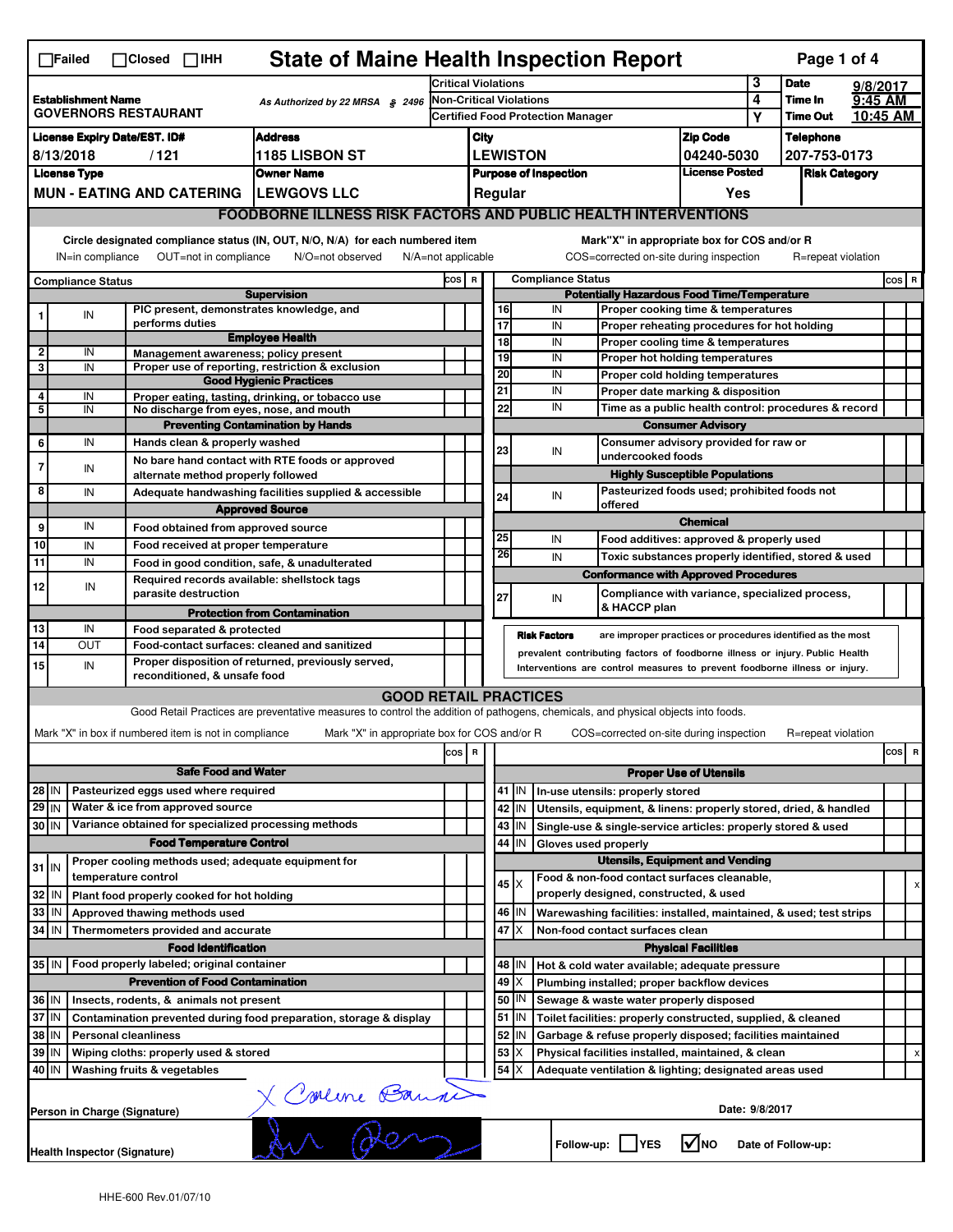|                                                                            | $\Box$ Failed                                                         | $\Box$ Closed<br>$\Box$ IHH                                                     | <b>State of Maine Health Inspection Report</b>                                                                                    |                            |                                |                                                                               |                 |                                                                                        |                                                                                   |                | Page 1 of 4                      |          |         |   |
|----------------------------------------------------------------------------|-----------------------------------------------------------------------|---------------------------------------------------------------------------------|-----------------------------------------------------------------------------------------------------------------------------------|----------------------------|--------------------------------|-------------------------------------------------------------------------------|-----------------|----------------------------------------------------------------------------------------|-----------------------------------------------------------------------------------|----------------|----------------------------------|----------|---------|---|
|                                                                            |                                                                       |                                                                                 |                                                                                                                                   | <b>Critical Violations</b> |                                |                                                                               |                 |                                                                                        |                                                                                   | 3              | <b>Date</b>                      | 9/8/2017 |         |   |
|                                                                            | <b>Establishment Name</b>                                             | <b>GOVERNORS RESTAURANT</b>                                                     | As Authorized by 22 MRSA § 2496                                                                                                   |                            | <b>Non-Critical Violations</b> |                                                                               |                 |                                                                                        | 4                                                                                 | Time In        | 9:45 AM                          |          |         |   |
|                                                                            |                                                                       |                                                                                 | <b>Address</b>                                                                                                                    |                            |                                | <b>Certified Food Protection Manager</b>                                      |                 |                                                                                        | Υ                                                                                 | Time Out       | 10:45 AM                         |          |         |   |
| <b>License Expiry Date/EST. ID#</b><br>1185 LISBON ST<br>8/13/2018<br>/121 |                                                                       |                                                                                 |                                                                                                                                   |                            |                                | <b>Zip Code</b><br>City<br><b>LEWISTON</b><br>04240-5030                      |                 |                                                                                        |                                                                                   |                | <b>Telephone</b><br>207-753-0173 |          |         |   |
| <b>License Type</b><br><b>Owner Name</b>                                   |                                                                       |                                                                                 |                                                                                                                                   |                            |                                | <b>License Posted</b><br><b>Purpose of Inspection</b><br><b>Risk Category</b> |                 |                                                                                        |                                                                                   |                |                                  |          |         |   |
|                                                                            |                                                                       | <b>MUN - EATING AND CATERING</b>                                                | <b>ILEWGOVS LLC</b>                                                                                                               |                            |                                | Regular<br>Yes                                                                |                 |                                                                                        |                                                                                   |                |                                  |          |         |   |
|                                                                            | <b>FOODBORNE ILLNESS RISK FACTORS AND PUBLIC HEALTH INTERVENTIONS</b> |                                                                                 |                                                                                                                                   |                            |                                |                                                                               |                 |                                                                                        |                                                                                   |                |                                  |          |         |   |
|                                                                            | IN=in compliance                                                      | OUT=not in compliance                                                           | Circle designated compliance status (IN, OUT, N/O, N/A) for each numbered item<br>N/O=not observed                                | $N/A = not$ applicable     |                                |                                                                               |                 | Mark"X" in appropriate box for COS and/or R<br>COS=corrected on-site during inspection |                                                                                   |                | R=repeat violation               |          |         |   |
|                                                                            | <b>Compliance Status</b>                                              |                                                                                 |                                                                                                                                   | COS R                      |                                |                                                                               |                 | <b>Compliance Status</b>                                                               |                                                                                   |                |                                  |          | $cos$ R |   |
|                                                                            |                                                                       |                                                                                 | <b>Supervision</b>                                                                                                                |                            |                                |                                                                               |                 | <b>Potentially Hazardous Food Time/Temperature</b>                                     |                                                                                   |                |                                  |          |         |   |
| 1                                                                          | IN                                                                    | performs duties                                                                 | PIC present, demonstrates knowledge, and                                                                                          |                            |                                |                                                                               | 16<br>17        | IN<br>IN                                                                               | Proper cooking time & temperatures<br>Proper reheating procedures for hot holding |                |                                  |          |         |   |
|                                                                            |                                                                       |                                                                                 | <b>Employee Health</b>                                                                                                            |                            |                                |                                                                               | $\overline{18}$ | IN                                                                                     | Proper cooling time & temperatures                                                |                |                                  |          |         |   |
| $\overline{2}$<br>3                                                        | IN<br>IN                                                              |                                                                                 | Management awareness; policy present<br>Proper use of reporting, restriction & exclusion                                          |                            |                                |                                                                               | 19              | IN                                                                                     | Proper hot holding temperatures                                                   |                |                                  |          |         |   |
|                                                                            |                                                                       |                                                                                 | <b>Good Hygienic Practices</b>                                                                                                    |                            |                                |                                                                               | 20              | IN                                                                                     | Proper cold holding temperatures                                                  |                |                                  |          |         |   |
| 4                                                                          | IN                                                                    |                                                                                 | Proper eating, tasting, drinking, or tobacco use                                                                                  |                            |                                |                                                                               | 21              | IN                                                                                     | Proper date marking & disposition                                                 |                |                                  |          |         |   |
| 5                                                                          | IN                                                                    |                                                                                 | No discharge from eyes, nose, and mouth                                                                                           |                            |                                |                                                                               | 22              | IN                                                                                     | Time as a public health control: procedures & record                              |                |                                  |          |         |   |
| 6                                                                          | IN                                                                    | Hands clean & properly washed                                                   | <b>Preventing Contamination by Hands</b>                                                                                          |                            |                                |                                                                               |                 |                                                                                        | <b>Consumer Advisory</b><br>Consumer advisory provided for raw or                 |                |                                  |          |         |   |
|                                                                            |                                                                       |                                                                                 | No bare hand contact with RTE foods or approved                                                                                   |                            |                                |                                                                               | 23              | IN<br>undercooked foods                                                                |                                                                                   |                |                                  |          |         |   |
| 7                                                                          | IN                                                                    | alternate method properly followed                                              |                                                                                                                                   |                            |                                |                                                                               |                 |                                                                                        | <b>Highly Susceptible Populations</b>                                             |                |                                  |          |         |   |
| 8                                                                          | IN                                                                    |                                                                                 | Adequate handwashing facilities supplied & accessible                                                                             |                            |                                |                                                                               | 24              | IN                                                                                     | Pasteurized foods used; prohibited foods not                                      |                |                                  |          |         |   |
|                                                                            |                                                                       |                                                                                 | <b>Approved Source</b>                                                                                                            |                            |                                |                                                                               |                 | offered                                                                                | <b>Chemical</b>                                                                   |                |                                  |          |         |   |
| 9                                                                          | IN                                                                    | Food obtained from approved source                                              |                                                                                                                                   |                            |                                |                                                                               | 25              | IN                                                                                     | Food additives: approved & properly used                                          |                |                                  |          |         |   |
| 10                                                                         | IN                                                                    | Food received at proper temperature                                             |                                                                                                                                   |                            |                                |                                                                               | 26              | IN                                                                                     | Toxic substances properly identified, stored & used                               |                |                                  |          |         |   |
| 11                                                                         | IN                                                                    |                                                                                 | Food in good condition, safe, & unadulterated                                                                                     |                            |                                |                                                                               |                 | <b>Conformance with Approved Procedures</b>                                            |                                                                                   |                |                                  |          |         |   |
| 12                                                                         | IN                                                                    | parasite destruction                                                            | Required records available: shellstock tags                                                                                       |                            |                                |                                                                               | 27              |                                                                                        | Compliance with variance, specialized process,                                    |                |                                  |          |         |   |
|                                                                            |                                                                       |                                                                                 | <b>Protection from Contamination</b>                                                                                              |                            |                                |                                                                               |                 | IN<br>& HACCP plan                                                                     |                                                                                   |                |                                  |          |         |   |
| 13                                                                         | IN                                                                    | Food separated & protected                                                      |                                                                                                                                   |                            |                                |                                                                               |                 | <b>Risk Factors</b>                                                                    | are improper practices or procedures identified as the most                       |                |                                  |          |         |   |
| 14                                                                         | <b>OUT</b>                                                            |                                                                                 | Food-contact surfaces: cleaned and sanitized                                                                                      |                            |                                |                                                                               |                 | prevalent contributing factors of foodborne illness or injury. Public Health           |                                                                                   |                |                                  |          |         |   |
| 15                                                                         | IN                                                                    | reconditioned, & unsafe food                                                    | Proper disposition of returned, previously served,                                                                                |                            |                                |                                                                               |                 | Interventions are control measures to prevent foodborne illness or injury.             |                                                                                   |                |                                  |          |         |   |
|                                                                            |                                                                       |                                                                                 | <b>GOOD RETAIL PRACTICES</b>                                                                                                      |                            |                                |                                                                               |                 |                                                                                        |                                                                                   |                |                                  |          |         |   |
|                                                                            |                                                                       |                                                                                 | Good Retail Practices are preventative measures to control the addition of pathogens, chemicals, and physical objects into foods. |                            |                                |                                                                               |                 |                                                                                        |                                                                                   |                |                                  |          |         |   |
|                                                                            |                                                                       | Mark "X" in box if numbered item is not in compliance                           | Mark "X" in appropriate box for COS and/or R                                                                                      |                            |                                |                                                                               |                 | COS=corrected on-site during inspection                                                |                                                                                   |                | R=repeat violation               |          |         |   |
|                                                                            |                                                                       |                                                                                 |                                                                                                                                   | $\cos$                     | R                              |                                                                               |                 |                                                                                        |                                                                                   |                |                                  |          | cos  R  |   |
|                                                                            |                                                                       | <b>Safe Food and Water</b>                                                      |                                                                                                                                   |                            |                                |                                                                               |                 |                                                                                        | <b>Proper Use of Utensils</b>                                                     |                |                                  |          |         |   |
| 28 IN                                                                      |                                                                       | Pasteurized eggs used where required                                            |                                                                                                                                   |                            |                                |                                                                               | $41$ M          | In-use utensils: properly stored                                                       |                                                                                   |                |                                  |          |         |   |
| $29$ IN                                                                    |                                                                       | Water & ice from approved source                                                |                                                                                                                                   |                            |                                |                                                                               | 42   IN         | Utensils, equipment, & linens: properly stored, dried, & handled                       |                                                                                   |                |                                  |          |         |   |
| 30 IN                                                                      |                                                                       |                                                                                 | Variance obtained for specialized processing methods                                                                              |                            |                                |                                                                               | 43 IN           | Single-use & single-service articles: properly stored & used                           |                                                                                   |                |                                  |          |         |   |
|                                                                            |                                                                       | <b>Food Temperature Control</b>                                                 |                                                                                                                                   |                            |                                |                                                                               | 44   IN         | Gloves used properly                                                                   |                                                                                   |                |                                  |          |         |   |
| $31$ IN                                                                    |                                                                       | Proper cooling methods used; adequate equipment for                             |                                                                                                                                   |                            |                                |                                                                               |                 |                                                                                        | <b>Utensils, Equipment and Vending</b>                                            |                |                                  |          |         |   |
|                                                                            |                                                                       | temperature control                                                             |                                                                                                                                   |                            |                                |                                                                               | $45 \times$     | Food & non-food contact surfaces cleanable,                                            |                                                                                   |                |                                  |          |         | х |
| 32                                                                         | l IN                                                                  | Plant food properly cooked for hot holding                                      |                                                                                                                                   |                            |                                |                                                                               |                 | properly designed, constructed, & used                                                 |                                                                                   |                |                                  |          |         |   |
| 33                                                                         | IN                                                                    | Approved thawing methods used                                                   |                                                                                                                                   |                            |                                |                                                                               | 46   IN         | Warewashing facilities: installed, maintained, & used; test strips                     |                                                                                   |                |                                  |          |         |   |
| 34                                                                         | IN                                                                    | Thermometers provided and accurate                                              |                                                                                                                                   |                            |                                |                                                                               | 47<br>Ιx        | Non-food contact surfaces clean                                                        |                                                                                   |                |                                  |          |         |   |
|                                                                            |                                                                       | <b>Food Identification</b><br>35 IN   Food properly labeled; original container |                                                                                                                                   |                            |                                |                                                                               | 48   IN         | Hot & cold water available; adequate pressure                                          | <b>Physical Facilities</b>                                                        |                |                                  |          |         |   |
|                                                                            |                                                                       | <b>Prevention of Food Contamination</b>                                         |                                                                                                                                   |                            |                                |                                                                               | $49 \times$     | Plumbing installed; proper backflow devices                                            |                                                                                   |                |                                  |          |         |   |
| 36   IN                                                                    |                                                                       | Insects, rodents, & animals not present                                         |                                                                                                                                   |                            |                                |                                                                               | 50   IN         | Sewage & waste water properly disposed                                                 |                                                                                   |                |                                  |          |         |   |
| 37 IN                                                                      |                                                                       |                                                                                 | Contamination prevented during food preparation, storage & display                                                                |                            |                                |                                                                               | $51$ $\vert$ IN | Toilet facilities: properly constructed, supplied, & cleaned                           |                                                                                   |                |                                  |          |         |   |
| 38 IN                                                                      |                                                                       | <b>Personal cleanliness</b>                                                     |                                                                                                                                   |                            |                                |                                                                               | 52 IN           | Garbage & refuse properly disposed; facilities maintained                              |                                                                                   |                |                                  |          |         |   |
| 39 IN                                                                      |                                                                       | Wiping cloths: properly used & stored                                           |                                                                                                                                   |                            |                                |                                                                               | 53<br>х         | Physical facilities installed, maintained, & clean                                     |                                                                                   |                |                                  |          |         | x |
| 40 IN                                                                      |                                                                       | Washing fruits & vegetables                                                     |                                                                                                                                   |                            |                                |                                                                               | 54<br>X         | Adequate ventilation & lighting; designated areas used                                 |                                                                                   |                |                                  |          |         |   |
|                                                                            |                                                                       | Person in Charge (Signature)                                                    | X Concerne Bannes                                                                                                                 |                            |                                |                                                                               |                 |                                                                                        |                                                                                   | Date: 9/8/2017 |                                  |          |         |   |
|                                                                            |                                                                       | Health Inspector (Signature)                                                    |                                                                                                                                   |                            |                                |                                                                               |                 | Follow-up: YES                                                                         | $\nabla$ <sub>NO</sub>                                                            |                | Date of Follow-up:               |          |         |   |
|                                                                            |                                                                       |                                                                                 |                                                                                                                                   |                            |                                |                                                                               |                 |                                                                                        |                                                                                   |                |                                  |          |         |   |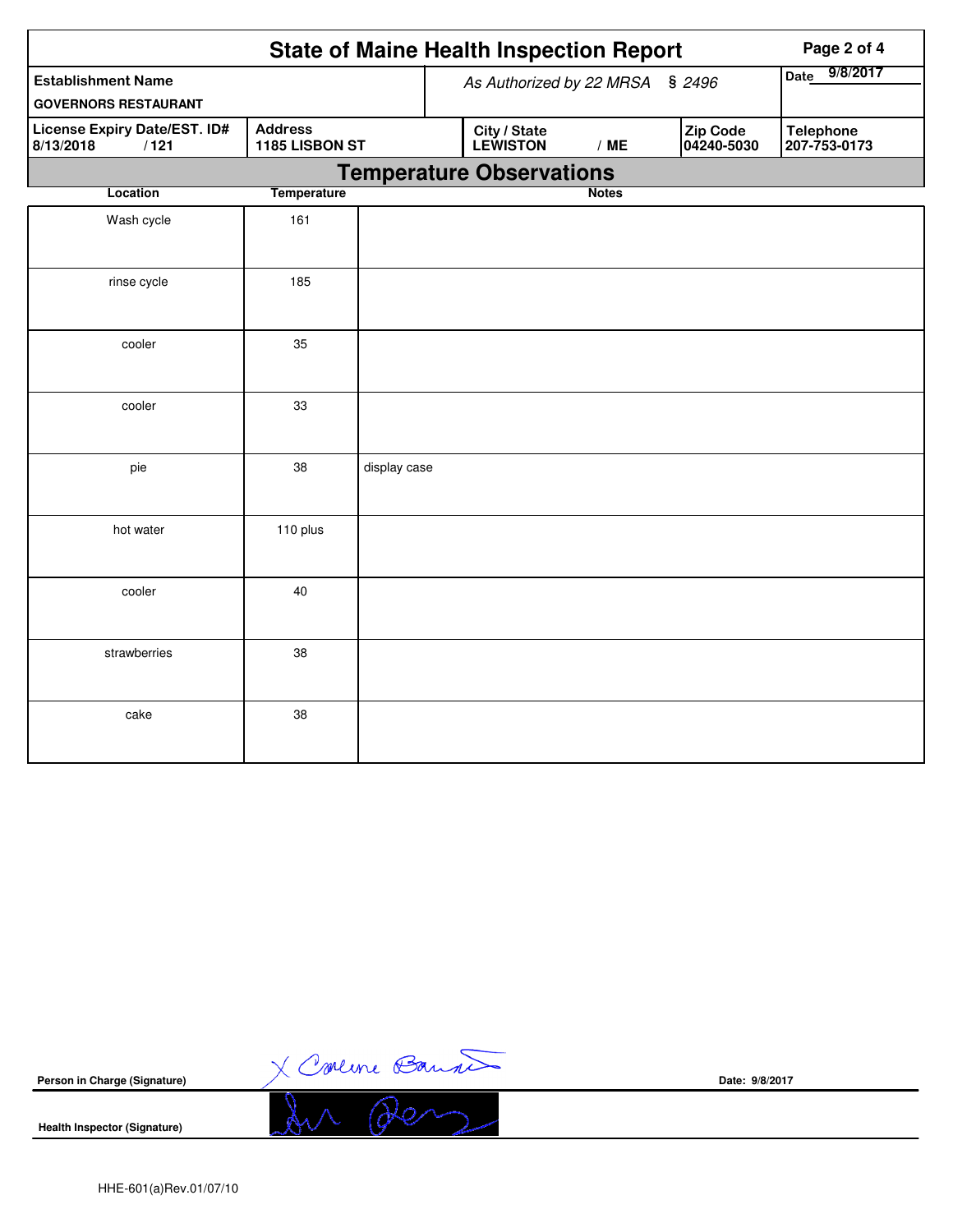| <b>State of Maine Health Inspection Report</b><br>Page 2 of 4 |                                  |              |  |                                 |                  |                        |                                  |  |
|---------------------------------------------------------------|----------------------------------|--------------|--|---------------------------------|------------------|------------------------|----------------------------------|--|
| <b>Establishment Name</b><br><b>GOVERNORS RESTAURANT</b>      |                                  |              |  | As Authorized by 22 MRSA § 2496 | 9/8/2017<br>Date |                        |                                  |  |
| <b>License Expiry Date/EST. ID#</b><br>8/13/2018<br>/121      | <b>Address</b><br>1185 LISBON ST |              |  | City / State<br><b>LEWISTON</b> | /ME              | Zip Code<br>04240-5030 | <b>Telephone</b><br>207-753-0173 |  |
|                                                               |                                  |              |  | <b>Temperature Observations</b> |                  |                        |                                  |  |
| Location                                                      | <b>Temperature</b>               |              |  |                                 | <b>Notes</b>     |                        |                                  |  |
| Wash cycle                                                    | 161                              |              |  |                                 |                  |                        |                                  |  |
| rinse cycle                                                   | 185                              |              |  |                                 |                  |                        |                                  |  |
| cooler                                                        | 35                               |              |  |                                 |                  |                        |                                  |  |
| cooler                                                        | 33                               |              |  |                                 |                  |                        |                                  |  |
| pie                                                           | 38                               | display case |  |                                 |                  |                        |                                  |  |
| hot water                                                     | 110 plus                         |              |  |                                 |                  |                        |                                  |  |
| cooler                                                        | 40                               |              |  |                                 |                  |                        |                                  |  |
| strawberries                                                  | 38                               |              |  |                                 |                  |                        |                                  |  |
| cake                                                          | 38                               |              |  |                                 |                  |                        |                                  |  |

X Concine Bannet **Person in Charge (Signature) Date: 9/8/2017Health Inspector (Signature)**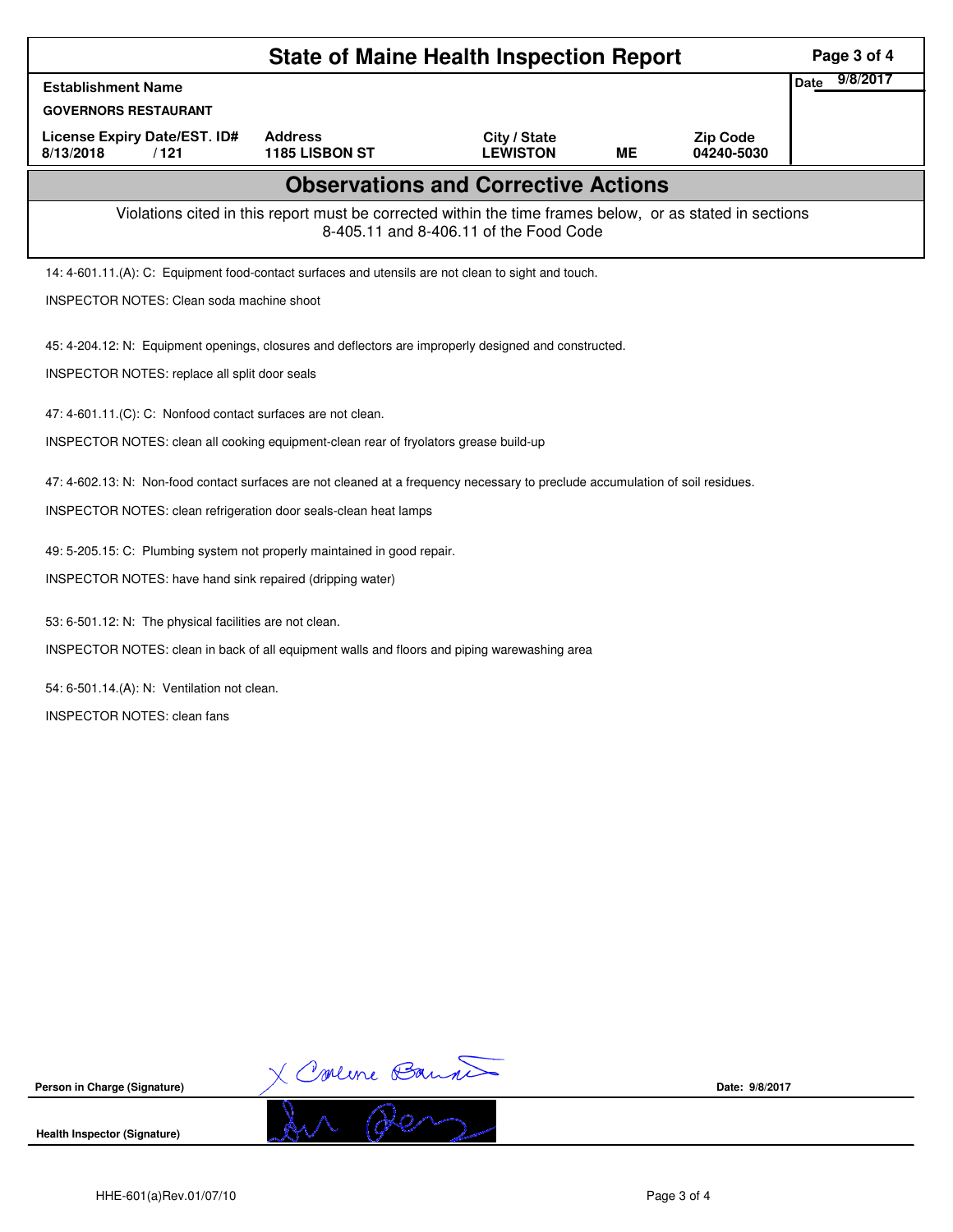| <b>State of Maine Health Inspection Report</b>                                                                                                                                                     |                                                                                                     |                                 |    |                               |                  |  |  |  |  |
|----------------------------------------------------------------------------------------------------------------------------------------------------------------------------------------------------|-----------------------------------------------------------------------------------------------------|---------------------------------|----|-------------------------------|------------------|--|--|--|--|
| <b>Establishment Name</b>                                                                                                                                                                          |                                                                                                     |                                 |    |                               | 9/8/2017<br>Date |  |  |  |  |
| <b>GOVERNORS RESTAURANT</b>                                                                                                                                                                        |                                                                                                     |                                 |    |                               |                  |  |  |  |  |
| <b>License Expiry Date/EST. ID#</b><br>8/13/2018<br>/121                                                                                                                                           | <b>Address</b><br><b>1185 LISBON ST</b>                                                             | City / State<br><b>LEWISTON</b> | MЕ | <b>Zip Code</b><br>04240-5030 |                  |  |  |  |  |
| <b>Observations and Corrective Actions</b>                                                                                                                                                         |                                                                                                     |                                 |    |                               |                  |  |  |  |  |
| Violations cited in this report must be corrected within the time frames below, or as stated in sections<br>8-405.11 and 8-406.11 of the Food Code                                                 |                                                                                                     |                                 |    |                               |                  |  |  |  |  |
|                                                                                                                                                                                                    | 14: 4-601.11.(A): C: Equipment food-contact surfaces and utensils are not clean to sight and touch. |                                 |    |                               |                  |  |  |  |  |
|                                                                                                                                                                                                    | <b>INSPECTOR NOTES: Clean soda machine shoot</b>                                                    |                                 |    |                               |                  |  |  |  |  |
| 45: 4-204.12: N: Equipment openings, closures and deflectors are improperly designed and constructed.                                                                                              |                                                                                                     |                                 |    |                               |                  |  |  |  |  |
| INSPECTOR NOTES: replace all split door seals                                                                                                                                                      |                                                                                                     |                                 |    |                               |                  |  |  |  |  |
| 47: 4-601.11.(C): C: Nonfood contact surfaces are not clean.                                                                                                                                       |                                                                                                     |                                 |    |                               |                  |  |  |  |  |
| INSPECTOR NOTES: clean all cooking equipment-clean rear of fryolators grease build-up                                                                                                              |                                                                                                     |                                 |    |                               |                  |  |  |  |  |
|                                                                                                                                                                                                    |                                                                                                     |                                 |    |                               |                  |  |  |  |  |
| 47: 4-602.13: N: Non-food contact surfaces are not cleaned at a frequency necessary to preclude accumulation of soil residues.<br>INSPECTOR NOTES: clean refrigeration door seals-clean heat lamps |                                                                                                     |                                 |    |                               |                  |  |  |  |  |
|                                                                                                                                                                                                    |                                                                                                     |                                 |    |                               |                  |  |  |  |  |
|                                                                                                                                                                                                    | 49: 5-205.15: C: Plumbing system not properly maintained in good repair.                            |                                 |    |                               |                  |  |  |  |  |
| INSPECTOR NOTES: have hand sink repaired (dripping water)                                                                                                                                          |                                                                                                     |                                 |    |                               |                  |  |  |  |  |
| 53: 6-501.12: N: The physical facilities are not clean.                                                                                                                                            |                                                                                                     |                                 |    |                               |                  |  |  |  |  |
| INSPECTOR NOTES: clean in back of all equipment walls and floors and piping warewashing area                                                                                                       |                                                                                                     |                                 |    |                               |                  |  |  |  |  |
| 54: 6-501.14.(A): N: Ventilation not clean.                                                                                                                                                        |                                                                                                     |                                 |    |                               |                  |  |  |  |  |
| <b>INSPECTOR NOTES: clean fans</b>                                                                                                                                                                 |                                                                                                     |                                 |    |                               |                  |  |  |  |  |
|                                                                                                                                                                                                    |                                                                                                     |                                 |    |                               |                  |  |  |  |  |
|                                                                                                                                                                                                    |                                                                                                     |                                 |    |                               |                  |  |  |  |  |
|                                                                                                                                                                                                    |                                                                                                     |                                 |    |                               |                  |  |  |  |  |

X Comme Banne

**Person in Charge (Signature)**

**Health Inspector (Signature)** 

**Date: 9/8/2017**